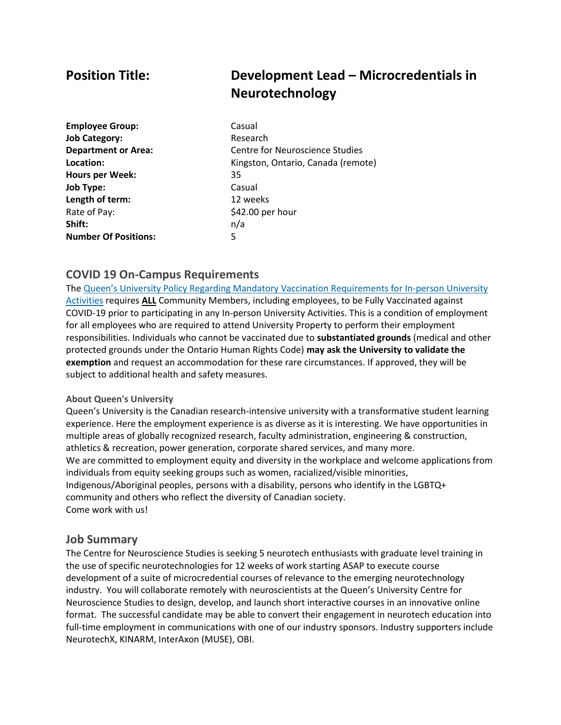# **Position Title: Development Lead – Microcredentials in Neurotechnology**

**Employee Group:** Casual **Job Category:** Research **Hours per Week:** 35 **Job Type:** Casual **Length of term:** 12 weeks Rate of Pay:  $$42.00$  per hour **Shift:** n/a **Number Of Positions:** 5

**Department or Area:** Centre for Neuroscience Studies **Location:** Kingston, Ontario, Canada (remote)

#### **COVID 19 On-Campus Requirements**

The Queen's University Policy Regarding Mandatory Vaccination [Requirements](https://www.queensu.ca/secretariat/policies/administration-and-operations/covid-19-vaccination-requirements) for In-person University [Activities](https://www.queensu.ca/secretariat/policies/administration-and-operations/covid-19-vaccination-requirements) requires **ALL** Community Members, including employees, to be Fully Vaccinated against COVID-19 prior to participating in any In-person University Activities. This is a condition of employment for all employees who are required to attend University Property to perform their employment responsibilities. Individuals who cannot be vaccinated due to **substantiated grounds** (medical and other protected grounds under the Ontario Human Rights Code) **may ask the University to validate the exemption** and request an accommodation for these rare circumstances. If approved, they will be subject to additional health and safety measures.

#### **About Queen's University**

Queen's University is the Canadian research-intensive university with a transformative student learning experience. Here the employment experience is as diverse as it is interesting. We have opportunities in multiple areas of globally recognized research, faculty administration, engineering & construction, athletics & recreation, power generation, corporate shared services, and many more. We are committed to employment equity and diversity in the workplace and welcome applications from individuals from equity seeking groups such as women, racialized/visible minorities, Indigenous/Aboriginal peoples, persons with a disability, persons who identify in the LGBTQ+ community and others who reflect the diversity of Canadian society. Come work with us!

#### **Job Summary**

The Centre for Neuroscience Studies is seeking 5 neurotech enthusiasts with graduate level training in the use of specific neurotechnologies for 12 weeks of work starting ASAP to execute course development of a suite of microcredential courses of relevance to the emerging neurotechnology industry. You will collaborate remotely with neuroscientists at the Queen's University Centre for Neuroscience Studies to design, develop, and launch short interactive courses in an innovative online format. The successful candidate may be able to convert their engagement in neurotech education into full-time employment in communications with one of our industry sponsors. Industry supporters include NeurotechX, KINARM, InterAxon (MUSE), OBI.